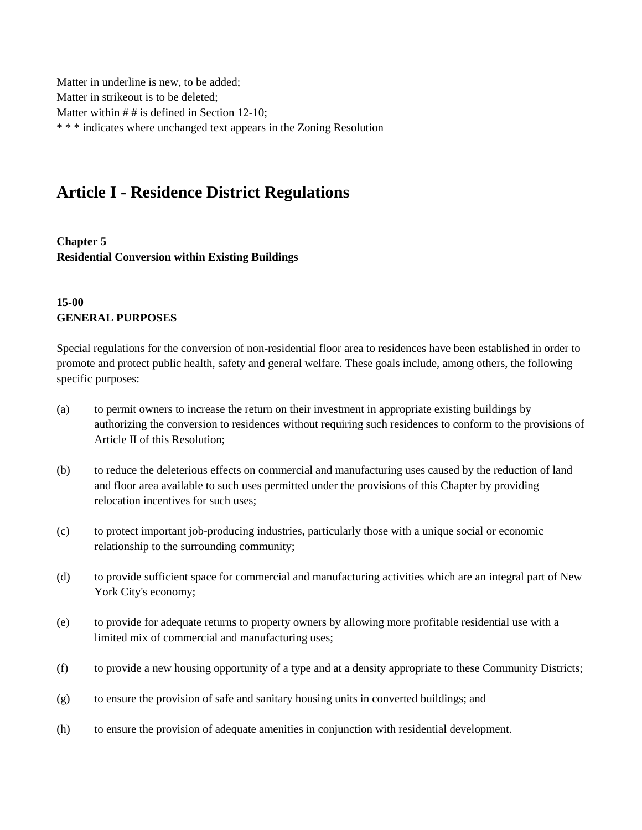Matter in underline is new, to be added; Matter in strikeout is to be deleted; Matter within # # is defined in Section 12-10; \* \* \* indicates where unchanged text appears in the Zoning Resolution

# **Article I - Residence District Regulations**

**Chapter 5 Residential Conversion within Existing Buildings**

## **15-00 GENERAL PURPOSES**

Special regulations for the conversion of non-residential floor area to residences have been established in order to promote and protect public health, safety and general welfare. These goals include, among others, the following specific purposes:

- (a) to permit owners to increase the return on their investment in appropriate existing buildings by authorizing the conversion to residences without requiring such residences to conform to the provisions of Article II of this Resolution;
- (b) to reduce the deleterious effects on commercial and manufacturing uses caused by the reduction of land and floor area available to such uses permitted under the provisions of this Chapter by providing relocation incentives for such uses;
- (c) to protect important job-producing industries, particularly those with a unique social or economic relationship to the surrounding community;
- (d) to provide sufficient space for commercial and manufacturing activities which are an integral part of New York City's economy;
- (e) to provide for adequate returns to property owners by allowing more profitable residential use with a limited mix of commercial and manufacturing uses;
- (f) to provide a new housing opportunity of a type and at a density appropriate to these Community Districts;
- (g) to ensure the provision of safe and sanitary housing units in converted buildings; and
- (h) to ensure the provision of adequate amenities in conjunction with residential development.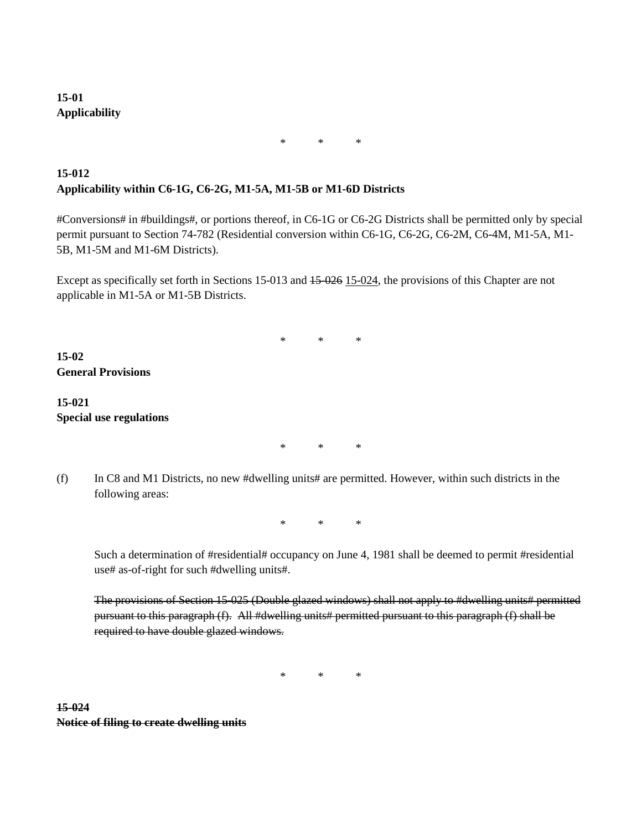## **15-01 Applicability**

\* \* \*

## **15-012 Applicability within C6-1G, C6-2G, M1-5A, M1-5B or M1-6D Districts**

#Conversions# in #buildings#, or portions thereof, in C6-1G or C6-2G Districts shall be permitted only by special permit pursuant to Section 74-782 (Residential conversion within C6-1G, C6-2G, C6-2M, C6-4M, M1-5A, M1- 5B, M1-5M and M1-6M Districts).

\* \* \*

Except as specifically set forth in Sections 15-013 and 15-026 15-024, the provisions of this Chapter are not applicable in M1-5A or M1-5B Districts.

**15-02 General Provisions**

## **15-021 Special use regulations**

\* \* \*

(f) In C8 and M1 Districts, no new #dwelling units# are permitted. However, within such districts in the following areas:

\* \* \*

Such a determination of #residential# occupancy on June 4, 1981 shall be deemed to permit #residential use# as-of-right for such #dwelling units#.

The provisions of Section 15-025 (Double glazed windows) shall not apply to #dwelling units# permitted pursuant to this paragraph (f). All #dwelling units# permitted pursuant to this paragraph (f) shall be required to have double glazed windows.

\* \* \*

### **15-024 Notice of filing to create dwelling units**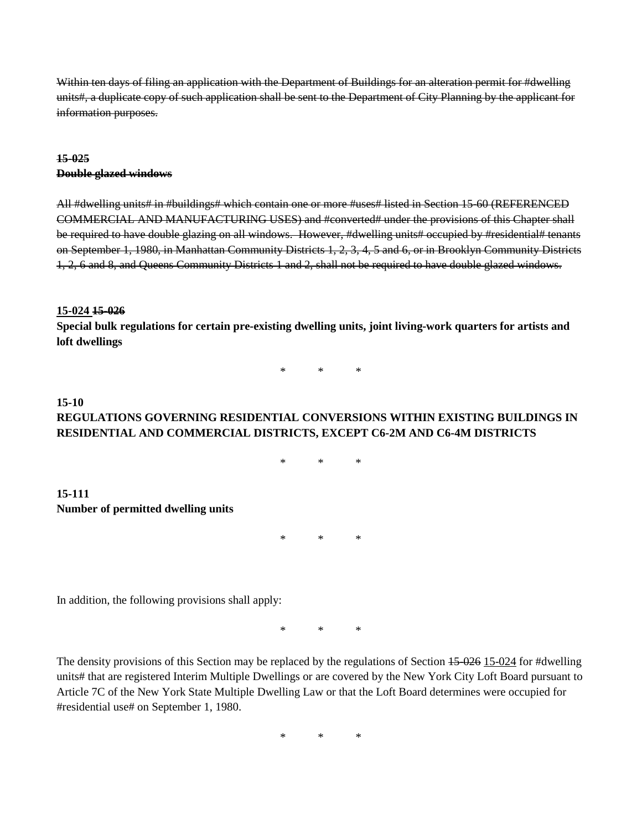Within ten days of filing an application with the Department of Buildings for an alteration permit for #dwelling units#, a duplicate copy of such application shall be sent to the Department of City Planning by the applicant for information purposes.

## **15-025 Double glazed windows**

All #dwelling units# in #buildings# which contain one or more #uses# listed in Section 15-60 (REFERENCED COMMERCIAL AND MANUFACTURING USES) and #converted# under the provisions of this Chapter shall be required to have double glazing on all windows. However, #dwelling units# occupied by #residential# tenants on September 1, 1980, in Manhattan Community Districts 1, 2, 3, 4, 5 and 6, or in Brooklyn Community Districts 1, 2, 6 and 8, and Queens Community Districts 1 and 2, shall not be required to have double glazed windows.

#### **15-024 15-026**

**Special bulk regulations for certain pre-existing dwelling units, joint living-work quarters for artists and loft dwellings**

\* \* \*

#### **15-10 REGULATIONS GOVERNING RESIDENTIAL CONVERSIONS WITHIN EXISTING BUILDINGS IN RESIDENTIAL AND COMMERCIAL DISTRICTS, EXCEPT C6-2M AND C6-4M DISTRICTS**

\* \* \*

#### **15-111 Number of permitted dwelling units**

\* \* \*

In addition, the following provisions shall apply:

\* \* \*

The density provisions of this Section may be replaced by the regulations of Section 45-026 15-024 for #dwelling units# that are registered Interim Multiple Dwellings or are covered by the New York City Loft Board pursuant to Article 7C of the New York State Multiple Dwelling Law or that the Loft Board determines were occupied for #residential use# on September 1, 1980.

\* \* \*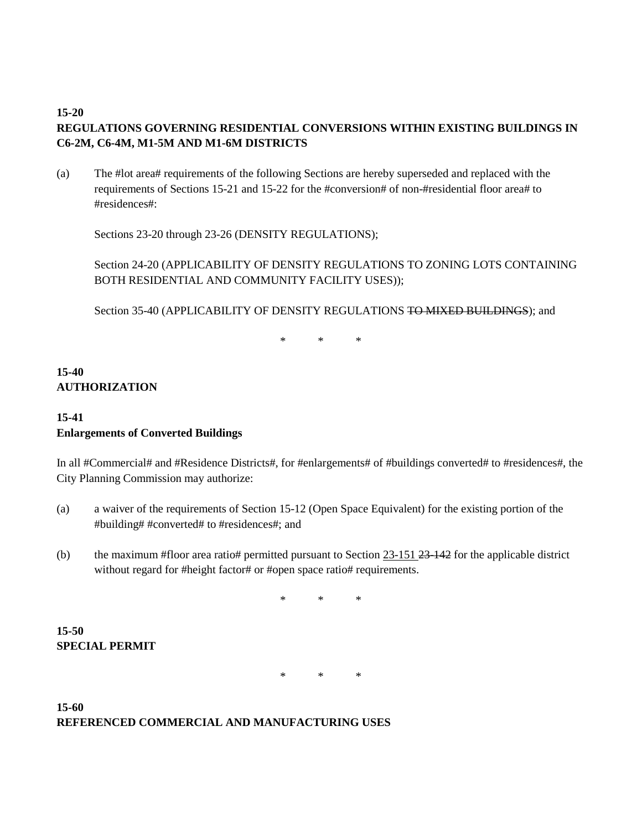#### **15-20**

## **REGULATIONS GOVERNING RESIDENTIAL CONVERSIONS WITHIN EXISTING BUILDINGS IN C6-2M, C6-4M, M1-5M AND M1-6M DISTRICTS**

(a) The #lot area# requirements of the following Sections are hereby superseded and replaced with the requirements of Sections 15-21 and 15-22 for the #conversion# of non-#residential floor area# to #residences#:

Sections 23-20 through 23-26 (DENSITY REGULATIONS);

Section 24-20 (APPLICABILITY OF DENSITY REGULATIONS TO ZONING LOTS CONTAINING BOTH RESIDENTIAL AND COMMUNITY FACILITY USES));

Section 35-40 (APPLICABILITY OF DENSITY REGULATIONS TO MIXED BUILDINGS); and

\* \* \*

## **15-40 AUTHORIZATION**

## **15-41 Enlargements of Converted Buildings**

In all #Commercial# and #Residence Districts#, for #enlargements# of #buildings converted# to #residences#, the City Planning Commission may authorize:

- (a) a waiver of the requirements of Section 15-12 (Open Space Equivalent) for the existing portion of the #building# #converted# to #residences#; and
- (b) the maximum #floor area ratio# permitted pursuant to Section  $23-151$   $23-142$  for the applicable district without regard for #height factor# or #open space ratio# requirements.

\* \* \*

**15-50 SPECIAL PERMIT**

\* \* \*

## **15-60 REFERENCED COMMERCIAL AND MANUFACTURING USES**